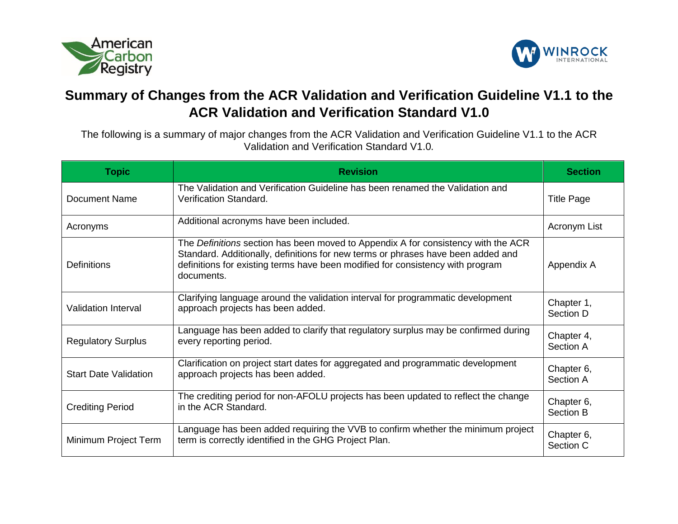



## **Summary of Changes from the ACR Validation and Verification Guideline V1.1 to the ACR Validation and Verification Standard V1.0**

The following is a summary of major changes from the ACR Validation and Verification Guideline V1.1 to the ACR Validation and Verification Standard V1.0*.*

| <b>Topic</b>                 | <b>Revision</b>                                                                                                                                                                                                                                                       | <b>Section</b>          |
|------------------------------|-----------------------------------------------------------------------------------------------------------------------------------------------------------------------------------------------------------------------------------------------------------------------|-------------------------|
| <b>Document Name</b>         | The Validation and Verification Guideline has been renamed the Validation and<br>Verification Standard.                                                                                                                                                               | <b>Title Page</b>       |
| Acronyms                     | Additional acronyms have been included.                                                                                                                                                                                                                               | Acronym List            |
| <b>Definitions</b>           | The Definitions section has been moved to Appendix A for consistency with the ACR<br>Standard. Additionally, definitions for new terms or phrases have been added and<br>definitions for existing terms have been modified for consistency with program<br>documents. | Appendix A              |
| Validation Interval          | Clarifying language around the validation interval for programmatic development<br>approach projects has been added.                                                                                                                                                  | Chapter 1,<br>Section D |
| <b>Regulatory Surplus</b>    | Language has been added to clarify that regulatory surplus may be confirmed during<br>every reporting period.                                                                                                                                                         | Chapter 4,<br>Section A |
| <b>Start Date Validation</b> | Clarification on project start dates for aggregated and programmatic development<br>approach projects has been added.                                                                                                                                                 | Chapter 6,<br>Section A |
| <b>Crediting Period</b>      | The crediting period for non-AFOLU projects has been updated to reflect the change<br>in the ACR Standard.                                                                                                                                                            | Chapter 6,<br>Section B |
| Minimum Project Term         | Language has been added requiring the VVB to confirm whether the minimum project<br>term is correctly identified in the GHG Project Plan.                                                                                                                             | Chapter 6,<br>Section C |